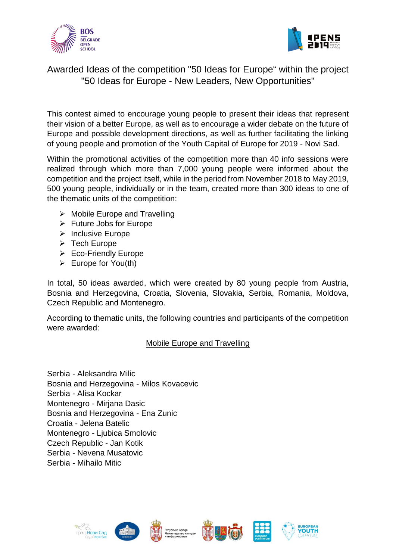



# Awarded Ideas of the competition "50 Ideas for Europe" within the project "50 Ideas for Europe - New Leaders, New Opportunities"

This contest aimed to encourage young people to present their ideas that represent their vision of a better Europe, as well as to encourage a wider debate on the future of Europe and possible development directions, as well as further facilitating the linking of young people and promotion of the Youth Capital of Europe for 2019 - Novi Sad.

Within the promotional activities of the competition more than 40 info sessions were realized through which more than 7,000 young people were informed about the competition and the project itself, while in the period from November 2018 to May 2019, 500 young people, individually or in the team, created more than 300 ideas to one of the thematic units of the competition:

- $\triangleright$  Mobile Europe and Travelling
- $\triangleright$  Future Jobs for Europe
- $\triangleright$  Inclusive Europe
- $\triangleright$  Tech Europe
- Eco-Friendly Europe
- $\triangleright$  Europe for You(th)

In total, 50 ideas awarded, which were created by 80 young people from Austria, Bosnia and Herzegovina, Croatia, Slovenia, Slovakia, Serbia, Romania, Moldova, Czech Republic and Montenegro.

According to thematic units, the following countries and participants of the competition were awarded:

### Mobile Europe and Travelling

Serbia - Aleksandra Milic Bosnia and Herzegovina - Milos Kovacevic Serbia - Alisa Kockar Montenegro - Mirjana Dasic Bosnia and Herzegovina - Ena Zunic Croatia - Jelena Batelic Montenegro - Ljubica Smolovic Czech Republic - Jan Kotik Serbia - Nevena Musatovic Serbia - Mihailo Mitic









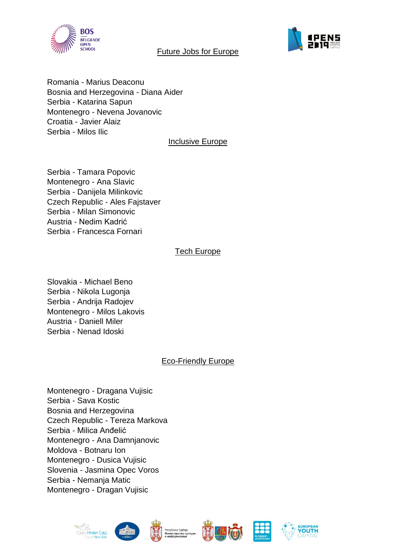



#### Future Jobs for Europe

Romania - Marius Deaconu Bosnia and Herzegovina - Diana Aider Serbia - Katarina Sapun Montenegro - Nevena Jovanovic Croatia - Javier Alaiz Serbia - Milos Ilic

#### Inclusive Europe

Serbia - Tamara Popovic Montenegro - Ana Slavic Serbia - Danijela Milinkovic Czech Republic - Ales Fajstaver Serbia - Milan Simonovic Austria - Nedim Kadrić Serbia - Francesca Fornari

## Tech Europe

Slovakia - Michael Beno Serbia - Nikola Lugonja Serbia - Andrija Radojev Montenegro - Milos Lakovis Austria - Daniell Miler Serbia - Nenad Idoski

# Eco-Friendly Europe

Montenegro - Dragana Vujisic Serbia - Sava Kostic Bosnia and Herzegovina Czech Republic - Tereza Markova Serbia - Milica Anđelić Montenegro - Ana Damnjanovic Moldova - Botnaru Ion Montenegro - Dusica Vujisic Slovenia - Jasmina Opec Voros Serbia - Nemanja Matic Montenegro - Dragan Vujisic